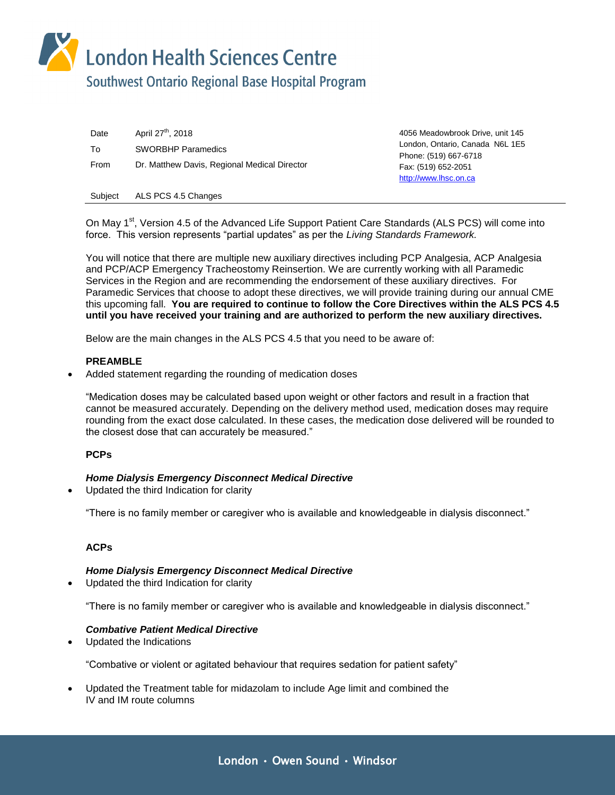London Health Sciences Centre

# Southwest Ontario Regional Base Hospital Program

Date April 27<sup>th</sup>, 2018 **April 27th** 2018 **April 27th** 2018 To SWORBHP Paramedics From Dr. Matthew Davis, Regional Medical Director

London, Ontario, Canada N6L 1E5 Phone: (519) 667-6718 Fax: (519) 652-2051 [http://www.lhsc.on.ca](http://www.lhsc.on.ca/)

Subject ALS PCS 4.5 Changes

On May 1<sup>st</sup>, Version 4.5 of the Advanced Life Support Patient Care Standards (ALS PCS) will come into force. This version represents "partial updates" as per the *Living Standards Framework.* 

You will notice that there are multiple new auxiliary directives including PCP Analgesia, ACP Analgesia and PCP/ACP Emergency Tracheostomy Reinsertion. We are currently working with all Paramedic Services in the Region and are recommending the endorsement of these auxiliary directives. For Paramedic Services that choose to adopt these directives, we will provide training during our annual CME this upcoming fall. **You are required to continue to follow the Core Directives within the ALS PCS 4.5 until you have received your training and are authorized to perform the new auxiliary directives.** 

Below are the main changes in the ALS PCS 4.5 that you need to be aware of:

# **PREAMBLE**

Added statement regarding the rounding of medication doses

"Medication doses may be calculated based upon weight or other factors and result in a fraction that cannot be measured accurately. Depending on the delivery method used, medication doses may require rounding from the exact dose calculated. In these cases, the medication dose delivered will be rounded to the closest dose that can accurately be measured."

# **PCPs**

# *Home Dialysis Emergency Disconnect Medical Directive*

Updated the third Indication for clarity

"There is no family member or caregiver who is available and knowledgeable in dialysis disconnect."

# **ACPs**

# *Home Dialysis Emergency Disconnect Medical Directive*

Updated the third Indication for clarity

"There is no family member or caregiver who is available and knowledgeable in dialysis disconnect."

# *Combative Patient Medical Directive*

Updated the Indications

"Combative or violent or agitated behaviour that requires sedation for patient safety"

 Updated the Treatment table for midazolam to include Age limit and combined the IV and IM route columns